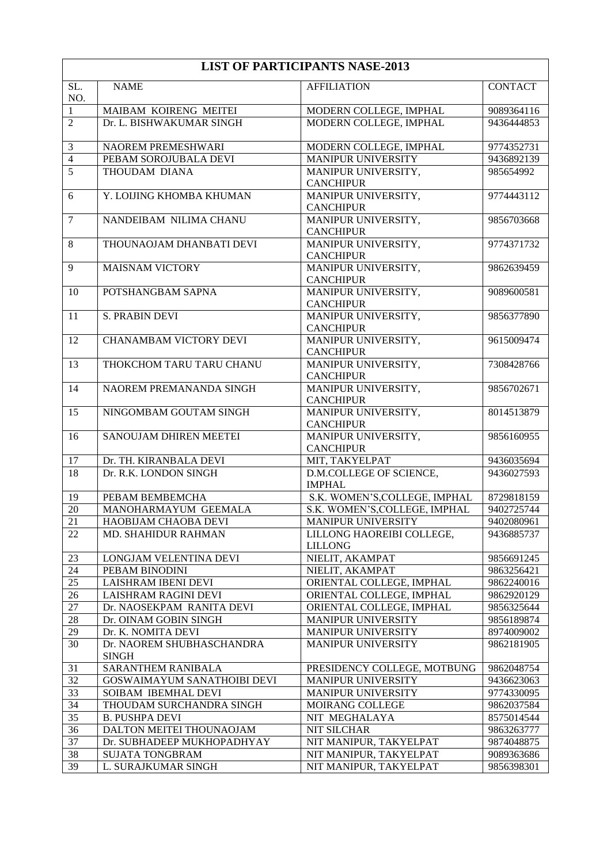| SL.<br>NO.     | <b>NAME</b>                               | <b>AFFILIATION</b>                          | <b>CONTACT</b> |
|----------------|-------------------------------------------|---------------------------------------------|----------------|
| $\mathbf{1}$   | MAIBAM KOIRENG MEITEI                     | MODERN COLLEGE, IMPHAL                      | 9089364116     |
| $\overline{2}$ | Dr. L. BISHWAKUMAR SINGH                  | MODERN COLLEGE, IMPHAL                      | 9436444853     |
| $\mathfrak{Z}$ | NAOREM PREMESHWARI                        | MODERN COLLEGE, IMPHAL                      | 9774352731     |
| $\overline{4}$ | PEBAM SOROJUBALA DEVI                     | MANIPUR UNIVERSITY                          | 9436892139     |
| $\overline{5}$ | THOUDAM DIANA                             | MANIPUR UNIVERSITY,<br><b>CANCHIPUR</b>     | 985654992      |
| 6              | Y. LOIJING KHOMBA KHUMAN                  | MANIPUR UNIVERSITY,<br><b>CANCHIPUR</b>     | 9774443112     |
| $\tau$         | NANDEIBAM NILIMA CHANU                    | MANIPUR UNIVERSITY,<br><b>CANCHIPUR</b>     | 9856703668     |
| $\,8\,$        | THOUNAOJAM DHANBATI DEVI                  | MANIPUR UNIVERSITY,<br><b>CANCHIPUR</b>     | 9774371732     |
| 9              | <b>MAISNAM VICTORY</b>                    | MANIPUR UNIVERSITY,<br><b>CANCHIPUR</b>     | 9862639459     |
| 10             | POTSHANGBAM SAPNA                         | MANIPUR UNIVERSITY,<br><b>CANCHIPUR</b>     | 9089600581     |
| 11             | <b>S. PRABIN DEVI</b>                     | MANIPUR UNIVERSITY,<br><b>CANCHIPUR</b>     | 9856377890     |
| 12             | <b>CHANAMBAM VICTORY DEVI</b>             | MANIPUR UNIVERSITY,<br><b>CANCHIPUR</b>     | 9615009474     |
| 13             | THOKCHOM TARU TARU CHANU                  | MANIPUR UNIVERSITY,<br><b>CANCHIPUR</b>     | 7308428766     |
| 14             | NAOREM PREMANANDA SINGH                   | MANIPUR UNIVERSITY,<br><b>CANCHIPUR</b>     | 9856702671     |
| 15             | NINGOMBAM GOUTAM SINGH                    | MANIPUR UNIVERSITY,<br><b>CANCHIPUR</b>     | 8014513879     |
| 16             | SANOUJAM DHIREN MEETEI                    | MANIPUR UNIVERSITY,<br><b>CANCHIPUR</b>     | 9856160955     |
| 17             | Dr. TH. KIRANBALA DEVI                    | MIT, TAKYELPAT                              | 9436035694     |
| 18             | Dr. R.K. LONDON SINGH                     | D.M.COLLEGE OF SCIENCE,<br><b>IMPHAL</b>    | 9436027593     |
| 19             | PEBAM BEMBEMCHA                           | S.K. WOMEN'S, COLLEGE, IMPHAL               | 8729818159     |
| 20             | MANOHARMAYUM GEEMALA                      | S.K. WOMEN'S, COLLEGE, IMPHAL               | 9402725744     |
| 21             | HAOBIJAM CHAOBA DEVI                      | <b>MANIPUR UNIVERSITY</b>                   | 9402080961     |
| 22             | MD. SHAHIDUR RAHMAN                       | LILLONG HAOREIBI COLLEGE,<br><b>LILLONG</b> | 9436885737     |
| 23             | LONGJAM VELENTINA DEVI                    | NIELIT, AKAMPAT                             | 9856691245     |
| 24             | PEBAM BINODINI                            | NIELIT, AKAMPAT                             | 9863256421     |
| 25             | LAISHRAM IBENI DEVI                       | ORIENTAL COLLEGE, IMPHAL                    | 9862240016     |
| 26             | LAISHRAM RAGINI DEVI                      | ORIENTAL COLLEGE, IMPHAL                    | 9862920129     |
| $27\,$         | Dr. NAOSEKPAM RANITA DEVI                 | ORIENTAL COLLEGE, IMPHAL                    | 9856325644     |
| 28             | Dr. OINAM GOBIN SINGH                     | MANIPUR UNIVERSITY                          | 9856189874     |
| 29             | Dr. K. NOMITA DEVI                        | MANIPUR UNIVERSITY                          | 8974009002     |
| 30             | Dr. NAOREM SHUBHASCHANDRA<br><b>SINGH</b> | <b>MANIPUR UNIVERSITY</b>                   | 9862181905     |
| 31             | SARANTHEM RANIBALA                        | PRESIDENCY COLLEGE, MOTBUNG                 | 9862048754     |
| 32             | GOSWAIMAYUM SANATHOIBI DEVI               | MANIPUR UNIVERSITY                          | 9436623063     |
| 33             | SOIBAM IBEMHAL DEVI                       | MANIPUR UNIVERSITY                          | 9774330095     |
| 34             | THOUDAM SURCHANDRA SINGH                  | MOIRANG COLLEGE                             | 9862037584     |
| 35             | <b>B. PUSHPA DEVI</b>                     | NIT MEGHALAYA                               | 8575014544     |
| 36             | DALTON MEITEI THOUNAOJAM                  | <b>NIT SILCHAR</b>                          | 9863263777     |
| 37             | Dr. SUBHADEEP MUKHOPADHYAY                | NIT MANIPUR, TAKYELPAT                      | 9874048875     |
| $38\,$         | SUJATA TONGBRAM                           | NIT MANIPUR, TAKYELPAT                      | 9089363686     |
| 39             | L. SURAJKUMAR SINGH                       | NIT MANIPUR, TAKYELPAT                      | 9856398301     |

## **LIST OF PARTICIPANTS NASE-2013**

 $\overline{\phantom{a}}$ 

 $\overline{\mathsf{I}}$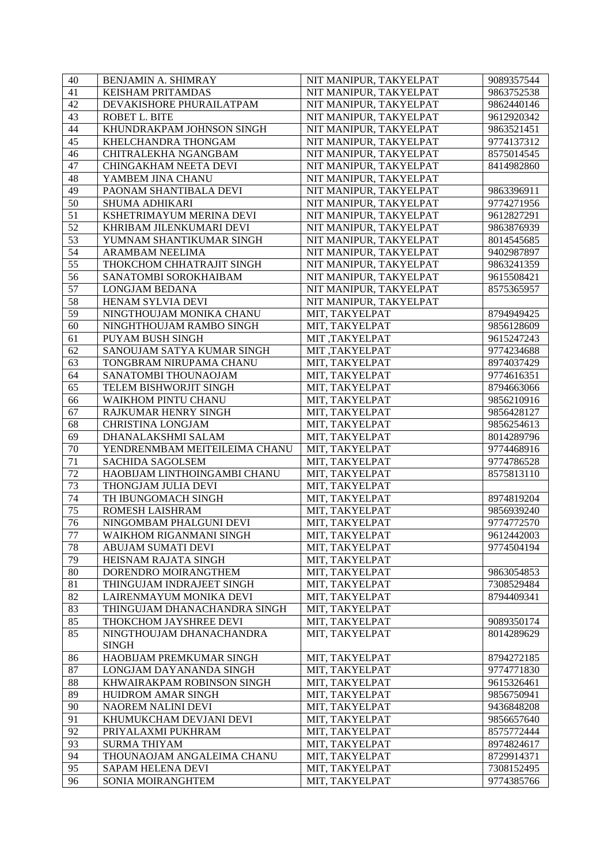| 40              | BENJAMIN A. SHIMRAY           | NIT MANIPUR, TAKYELPAT | 9089357544 |
|-----------------|-------------------------------|------------------------|------------|
| 41              | KEISHAM PRITAMDAS             | NIT MANIPUR, TAKYELPAT | 9863752538 |
| 42              | DEVAKISHORE PHURAILATPAM      | NIT MANIPUR, TAKYELPAT | 9862440146 |
| 43              | ROBET L. BITE                 | NIT MANIPUR, TAKYELPAT | 9612920342 |
| 44              | KHUNDRAKPAM JOHNSON SINGH     | NIT MANIPUR, TAKYELPAT | 9863521451 |
| $\overline{45}$ | KHELCHANDRA THONGAM           | NIT MANIPUR, TAKYELPAT | 9774137312 |
| 46              | CHITRALEKHA NGANGBAM          | NIT MANIPUR, TAKYELPAT | 8575014545 |
| 47              | CHINGAKHAM NEETA DEVI         | NIT MANIPUR, TAKYELPAT | 8414982860 |
| 48              | YAMBEM JINA CHANU             | NIT MANIPUR, TAKYELPAT |            |
| 49              | PAONAM SHANTIBALA DEVI        | NIT MANIPUR, TAKYELPAT | 9863396911 |
| 50              | SHUMA ADHIKARI                | NIT MANIPUR, TAKYELPAT | 9774271956 |
| 51              | KSHETRIMAYUM MERINA DEVI      | NIT MANIPUR, TAKYELPAT | 9612827291 |
| $\overline{52}$ | KHRIBAM JILENKUMARI DEVI      | NIT MANIPUR, TAKYELPAT | 9863876939 |
| $\overline{53}$ | YUMNAM SHANTIKUMAR SINGH      | NIT MANIPUR, TAKYELPAT | 8014545685 |
| $\overline{54}$ | <b>ARAMBAM NEELIMA</b>        | NIT MANIPUR, TAKYELPAT | 9402987897 |
| $\overline{55}$ | THOKCHOM CHHATRAJIT SINGH     | NIT MANIPUR, TAKYELPAT |            |
| 56              | SANATOMBI SOROKHAIBAM         |                        | 9863241359 |
|                 |                               | NIT MANIPUR, TAKYELPAT | 9615508421 |
| 57              | <b>LONGJAM BEDANA</b>         | NIT MANIPUR, TAKYELPAT | 8575365957 |
| 58              | HENAM SYLVIA DEVI             | NIT MANIPUR, TAKYELPAT |            |
| 59              | NINGTHOUJAM MONIKA CHANU      | MIT, TAKYELPAT         | 8794949425 |
| 60              | NINGHTHOUJAM RAMBO SINGH      | MIT, TAKYELPAT         | 9856128609 |
| 61              | PUYAM BUSH SINGH              | MIT, TAKYELPAT         | 9615247243 |
| 62              | SANOUJAM SATYA KUMAR SINGH    | <b>MIT, TAKYELPAT</b>  | 9774234688 |
| 63              | TONGBRAM NIRUPAMA CHANU       | MIT, TAKYELPAT         | 8974037429 |
| 64              | SANATOMBI THOUNAOJAM          | MIT, TAKYELPAT         | 9774616351 |
| 65              | TELEM BISHWORJIT SINGH        | MIT, TAKYELPAT         | 8794663066 |
| 66              | WAIKHOM PINTU CHANU           | MIT, TAKYELPAT         | 9856210916 |
| 67              | RAJKUMAR HENRY SINGH          | MIT, TAKYELPAT         | 9856428127 |
| 68              | <b>CHRISTINA LONGJAM</b>      | MIT, TAKYELPAT         | 9856254613 |
| 69              | DHANALAKSHMI SALAM            | MIT, TAKYELPAT         | 8014289796 |
| 70              | YENDRENMBAM MEITEILEIMA CHANU | MIT, TAKYELPAT         | 9774468916 |
| 71              | <b>SACHIDA SAGOLSEM</b>       | MIT, TAKYELPAT         | 9774786528 |
| $\overline{72}$ | HAOBIJAM LINTHOINGAMBI CHANU  | MIT, TAKYELPAT         | 8575813110 |
| $\overline{73}$ | THONGJAM JULIA DEVI           | MIT, TAKYELPAT         |            |
| 74              | TH IBUNGOMACH SINGH           | MIT, TAKYELPAT         | 8974819204 |
| $\overline{75}$ | ROMESH LAISHRAM               | MIT, TAKYELPAT         | 9856939240 |
| $\overline{76}$ | NINGOMBAM PHALGUNI DEVI       | MIT, TAKYELPAT         | 9774772570 |
| 77              | WAIKHOM RIGANMANI SINGH       | MIT, TAKYELPAT         | 9612442003 |
| 78              | ABUJAM SUMATI DEVI            | MIT, TAKYELPAT         | 9774504194 |
| 79              | HEISNAM RAJATA SINGH          | MIT, TAKYELPAT         |            |
| 80              | DORENDRO MOIRANGTHEM          | MIT, TAKYELPAT         | 9863054853 |
| 81              | THINGUJAM INDRAJEET SINGH     | MIT, TAKYELPAT         | 7308529484 |
| 82              | LAIRENMAYUM MONIKA DEVI       | MIT, TAKYELPAT         | 8794409341 |
| $\overline{83}$ | THINGUJAM DHANACHANDRA SINGH  | MIT, TAKYELPAT         |            |
| 85              | THOKCHOM JAYSHREE DEVI        | MIT, TAKYELPAT         | 9089350174 |
| $\overline{85}$ | NINGTHOUJAM DHANACHANDRA      | MIT, TAKYELPAT         | 8014289629 |
|                 | <b>SINGH</b>                  |                        |            |
|                 |                               | MIT, TAKYELPAT         |            |
| 86<br>87        | HAOBIJAM PREMKUMAR SINGH      |                        | 8794272185 |
|                 | LONGJAM DAYANANDA SINGH       | MIT, TAKYELPAT         | 9774771830 |
| 88              | KHWAIRAKPAM ROBINSON SINGH    | MIT, TAKYELPAT         | 9615326461 |
| 89              | HUIDROM AMAR SINGH            | MIT, TAKYELPAT         | 9856750941 |
| 90              | NAOREM NALINI DEVI            | MIT, TAKYELPAT         | 9436848208 |
| 91              | KHUMUKCHAM DEVJANI DEVI       | MIT, TAKYELPAT         | 9856657640 |
| 92              | PRIYALAXMI PUKHRAM            | MIT, TAKYELPAT         | 8575772444 |
| 93              | <b>SURMA THIYAM</b>           | MIT, TAKYELPAT         | 8974824617 |
| 94              | THOUNAOJAM ANGALEIMA CHANU    | MIT, TAKYELPAT         | 8729914371 |
| 95              | SAPAM HELENA DEVI             | MIT, TAKYELPAT         | 7308152495 |
| 96              | SONIA MOIRANGHTEM             | MIT, TAKYELPAT         | 9774385766 |